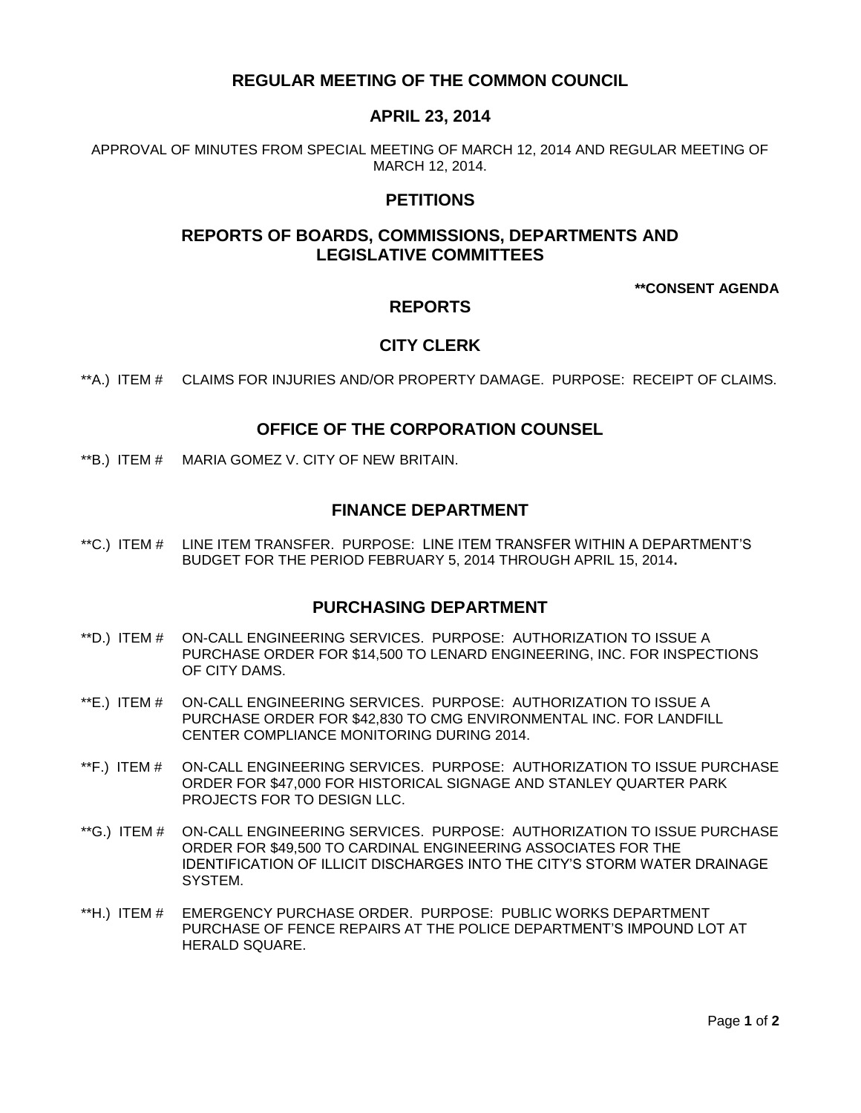# **REGULAR MEETING OF THE COMMON COUNCIL**

# **APRIL 23, 2014**

APPROVAL OF MINUTES FROM SPECIAL MEETING OF MARCH 12, 2014 AND REGULAR MEETING OF MARCH 12, 2014.

# **PETITIONS**

# **REPORTS OF BOARDS, COMMISSIONS, DEPARTMENTS AND LEGISLATIVE COMMITTEES**

#### **\*\*CONSENT AGENDA**

# **REPORTS**

### **CITY CLERK**

\*\*A.) ITEM # CLAIMS FOR INJURIES AND/OR PROPERTY DAMAGE. PURPOSE: RECEIPT OF CLAIMS.

# **OFFICE OF THE CORPORATION COUNSEL**

\*\*B.) ITEM # MARIA GOMEZ V. CITY OF NEW BRITAIN.

## **FINANCE DEPARTMENT**

\*\*C.) ITEM # LINE ITEM TRANSFER. PURPOSE: LINE ITEM TRANSFER WITHIN A DEPARTMENT'S BUDGET FOR THE PERIOD FEBRUARY 5, 2014 THROUGH APRIL 15, 2014**.**

# **PURCHASING DEPARTMENT**

- \*\*D.) ITEM # ON-CALL ENGINEERING SERVICES. PURPOSE: AUTHORIZATION TO ISSUE A PURCHASE ORDER FOR \$14,500 TO LENARD ENGINEERING, INC. FOR INSPECTIONS OF CITY DAMS.
- \*\*E.) ITEM # ON-CALL ENGINEERING SERVICES. PURPOSE: AUTHORIZATION TO ISSUE A PURCHASE ORDER FOR \$42,830 TO CMG ENVIRONMENTAL INC. FOR LANDFILL CENTER COMPLIANCE MONITORING DURING 2014.
- \*\*F.) ITEM # ON-CALL ENGINEERING SERVICES. PURPOSE: AUTHORIZATION TO ISSUE PURCHASE ORDER FOR \$47,000 FOR HISTORICAL SIGNAGE AND STANLEY QUARTER PARK PROJECTS FOR TO DESIGN LLC.
- \*\*G.) ITEM # ON-CALL ENGINEERING SERVICES. PURPOSE: AUTHORIZATION TO ISSUE PURCHASE ORDER FOR \$49,500 TO CARDINAL ENGINEERING ASSOCIATES FOR THE IDENTIFICATION OF ILLICIT DISCHARGES INTO THE CITY'S STORM WATER DRAINAGE SYSTEM.
- \*\*H.) ITEM # EMERGENCY PURCHASE ORDER. PURPOSE: PUBLIC WORKS DEPARTMENT PURCHASE OF FENCE REPAIRS AT THE POLICE DEPARTMENT'S IMPOUND LOT AT HERALD SQUARE.